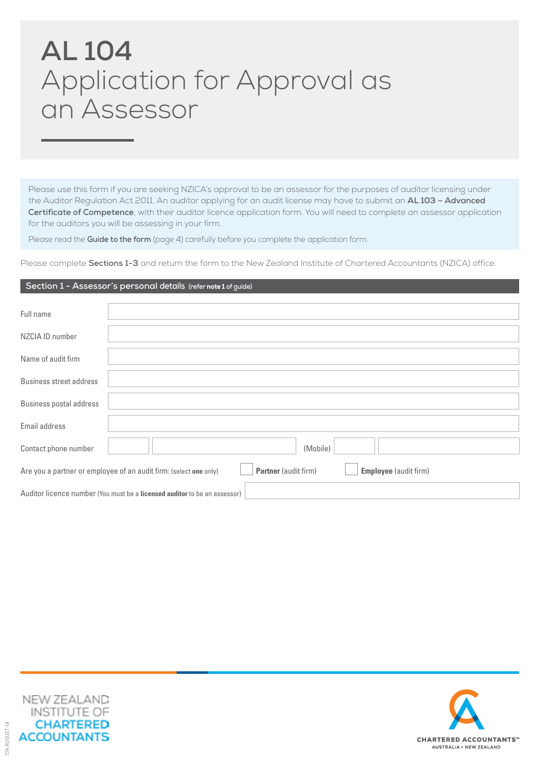# **AL 104** Application for Approval as an Assessor

Please use this form if you are seeking NZICA's approval to be an assessor for the purposes of auditor licensing under the Auditor Regulation Act 2011. An auditor applying for an audit license may have to submit an **AL 103 – Advanced Certificate of Competence**, with their auditor licence application form. You will need to complete an assessor application for the auditors you will be assessing in your firm.

Please read the **Guide to the form** (page 4) carefully before you complete the application form.

Please complete **Sections 1-3** and return the form to the New Zealand Institute of Chartered Accountants (NZICA) office.

## **Section 1 - Assessor's personal details (refer** note 1 **of guide)**

| Full name                                                                                                                 |          |  |  |  |  |  |
|---------------------------------------------------------------------------------------------------------------------------|----------|--|--|--|--|--|
| NZCIA ID number                                                                                                           |          |  |  |  |  |  |
| Name of audit firm                                                                                                        |          |  |  |  |  |  |
| <b>Business street address</b>                                                                                            |          |  |  |  |  |  |
| <b>Business postal address</b>                                                                                            |          |  |  |  |  |  |
| Email address                                                                                                             |          |  |  |  |  |  |
| Contact phone number                                                                                                      | (Mobile) |  |  |  |  |  |
| <b>Partner</b> (audit firm)<br>Are you a partner or employee of an audit firm: (select one only)<br>Employee (audit firm) |          |  |  |  |  |  |
| Auditor licence number (You must be a licensed auditor to be an assessor)                                                 |          |  |  |  |  |  |



724-AUGUST-18

24-AUGUST-18

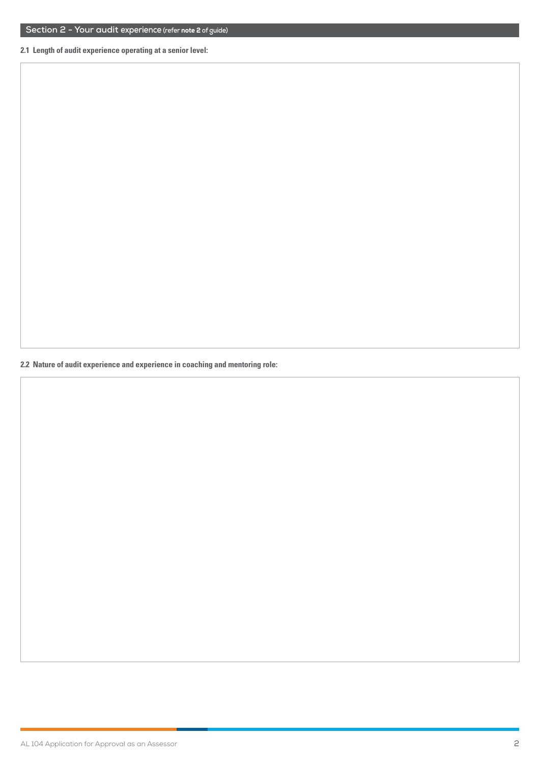**2.1 Length of audit experience operating at a senior level:**

**2.2 Nature of audit experience and experience in coaching and mentoring role:**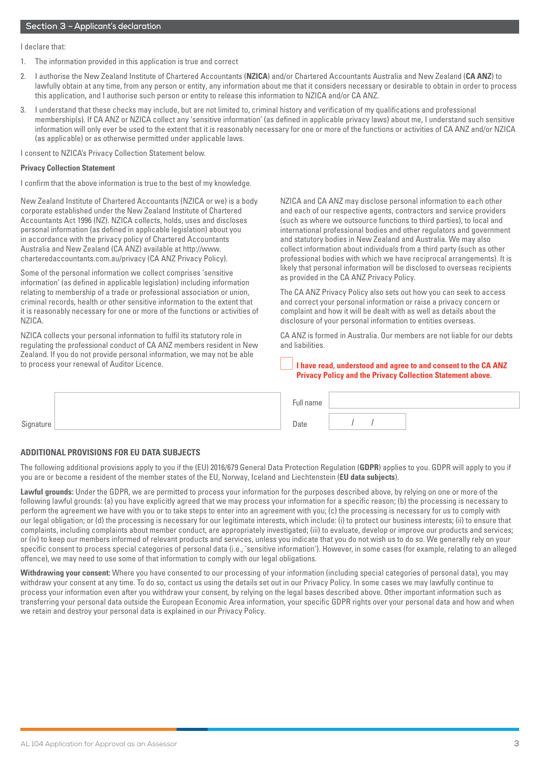I declare that:

- 1. The information provided in this application is true and correct
- 2. I authorise the New Zealand Institute of Chartered Accountants (**NZICA**) and/or Chartered Accountants Australia and New Zealand (**CA ANZ**) to lawfully obtain at any time, from any person or entity, any information about me that it considers necessary or desirable to obtain in order to process this application, and I authorise such person or entity to release this information to NZICA and/or CA ANZ.
- 3. I understand that these checks may include, but are not limited to, criminal history and verification of my qualifications and professional membership(s). If CA ANZ or NZICA collect any 'sensitive information' (as defined in applicable privacy laws) about me, I understand such sensitive information will only ever be used to the extent that it is reasonably necessary for one or more of the functions or activities of CA ANZ and/or NZICA (as applicable) or as otherwise permitted under applicable laws.

I consent to NZICA's Privacy Collection Statement below.

#### **Privacy Collection Statement**

I confirm that the above information is true to the best of my knowledge.

New Zealand Institute of Chartered Accountants (NZICA or we) is a body corporate established under the New Zealand Institute of Chartered Accountants Act 1996 (NZ). NZICA collects, holds, uses and discloses personal information (as defined in applicable legislation) about you in accordance with the privacy policy of Chartered Accountants Australia and New Zealand (CA ANZ) available at http://www. charteredaccountants.com.au/privacy (CA ANZ Privacy Policy).

Some of the personal information we collect comprises 'sensitive information' (as defined in applicable legislation) including information relating to membership of a trade or professional association or union, criminal records, health or other sensitive information to the extent that it is reasonably necessary for one or more of the functions or activities of NZICA.

NZICA collects your personal information to fulfil its statutory role in regulating the professional conduct of CA ANZ members resident in New Zealand. If you do not provide personal information, we may not be able to process your renewal of Auditor Licence.

NZICA and CA ANZ may disclose personal information to each other and each of our respective agents, contractors and service providers (such as where we outsource functions to third parties), to local and international professional bodies and other regulators and government and statutory bodies in New Zealand and Australia. We may also collect information about individuals from a third party (such as other professional bodies with which we have reciprocal arrangements). It is likely that personal information will be disclosed to overseas recipients as provided in the CA ANZ Privacy Policy.

The CA ANZ Privacy Policy also sets out how you can seek to access and correct your personal information or raise a privacy concern or complaint and how it will be dealt with as well as details about the disclosure of your personal information to entities overseas.

CA ANZ is formed in Australia. Our members are not liable for our debts and liabilities.

**I have read, understood and agree to and consent to the CA ANZ Privacy Policy and the Privacy Collection Statement above.**

|                     | Full name |  |  |
|---------------------|-----------|--|--|
| $\sim$<br>Signature | Date      |  |  |

### **ADDITIONAL PROVISIONS FOR EU DATA SUBJECTS**

The following additional provisions apply to you if the (EU) 2016/679 General Data Protection Regulation (**GDPR**) applies to you. GDPR will apply to you if you are or become a resident of the member states of the EU, Norway, Iceland and Liechtenstein (**EU data subjects**).

**Lawful grounds:** Under the GDPR, we are permitted to process your information for the purposes described above, by relying on one or more of the following lawful grounds: (a) you have explicitly agreed that we may process your information for a specific reason; (b) the processing is necessary to perform the agreement we have with you or to take steps to enter into an agreement with you; (c) the processing is necessary for us to comply with our legal obligation; or (d) the processing is necessary for our legitimate interests, which include: (i) to protect our business interests; (ii) to ensure that complaints, including complaints about member conduct, are appropriately investigated; (iii) to evaluate, develop or improve our products and services; or (iv) to keep our members informed of relevant products and services, unless you indicate that you do not wish us to do so. We generally rely on your specific consent to process special categories of personal data (i.e., 'sensitive information'). However, in some cases (for example, relating to an alleged offence), we may need to use some of that information to comply with our legal obligations.

**Withdrawing your consent:** Where you have consented to our processing of your information (including special categories of personal data), you may withdraw your consent at any time. To do so, contact us using the details set out in our Privacy Policy. In some cases we may lawfully continue to process your information even after you withdraw your consent, by relying on the legal bases described above. Other important information such as transferring your personal data outside the European Economic Area information, your specific GDPR rights over your personal data and how and when we retain and destroy your personal data is explained in our Privacy Policy.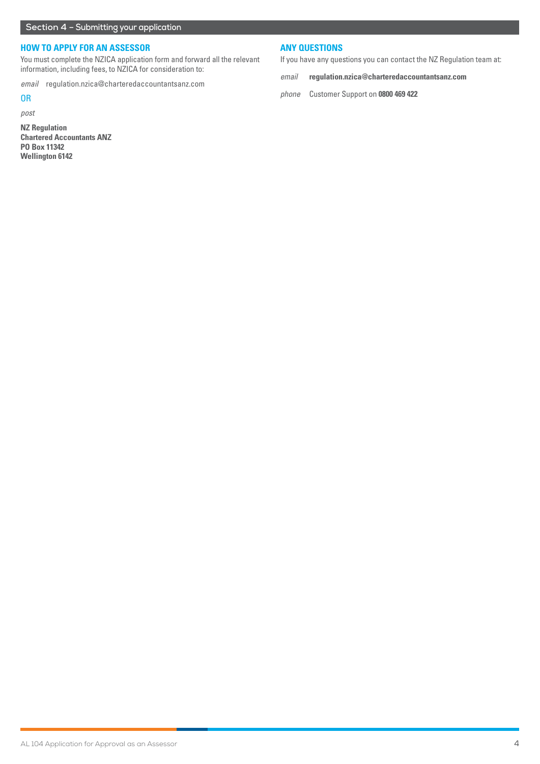# **HOW TO APPLY FOR AN ASSESSOR**

You must complete the NZICA application form and forward all the relevant information, including fees, to NZICA for consideration to:

*email* regulation.nzica@charteredaccountantsanz.com

# OR

*post*

**NZ Regulation Chartered Accountants ANZ PO Box 11342 Wellington 6142**

## **ANY QUESTIONS**

If you have any questions you can contact the NZ Regulation team at:

*email* **regulation.nzica@charteredaccountantsanz.com**

*phone* Customer Support on **0800 469 422**